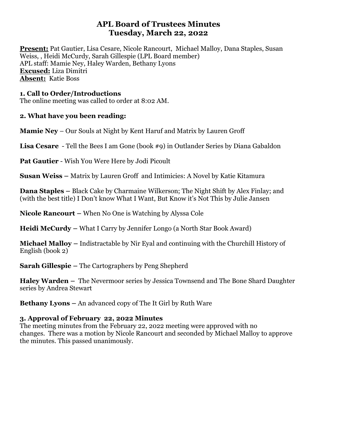# **APL Board of Trustees Minutes Tuesday, March 22, 2022**

**Present:** Pat Gautier, Lisa Cesare, Nicole Rancourt, Michael Malloy, Dana Staples, Susan Weiss, , Heidi McCurdy, Sarah Gillespie (LPL Board member) APL staff: Mamie Ney, Haley Warden, Bethany Lyons **Excused:** Liza Dimitri **Absent:** Katie Boss

## **1. Call to Order/Introductions**

The online meeting was called to order at 8:02 AM.

# **2. What have you been reading:**

**Mamie Ney** – Our Souls at Night by Kent Haruf and Matrix by Lauren Groff

**Lisa Cesare** - Tell the Bees I am Gone (book #9) in Outlander Series by Diana Gabaldon

**Pat Gautier** - Wish You Were Here by Jodi Picoult

**Susan Weiss –** Matrix by Lauren Groff and Intimicies: A Novel by Katie Kitamura

**Dana Staples –** Black Cake by Charmaine Wilkerson; The Night Shift by Alex Finlay; and (with the best title) I Don't know What I Want, But Know it's Not This by Julie Jansen

**Nicole Rancourt –** When No One is Watching by Alyssa Cole

**Heidi McCurdy –** What I Carry by Jennifer Longo (a North Star Book Award)

**Michael Malloy –** Indistractable by Nir Eyal and continuing with the Churchill History of English (book 2)

**Sarah Gillespie –** The Cartographers by Peng Shepherd

**Haley Warden –** The Nevermoor series by Jessica Townsend and The Bone Shard Daughter series by Andrea Stewart

**Bethany Lyons –** An advanced copy of The It Girl by Ruth Ware

# **3. Approval of February 22, 2022 Minutes**

The meeting minutes from the February 22, 2022 meeting were approved with no changes. There was a motion by Nicole Rancourt and seconded by Michael Malloy to approve the minutes. This passed unanimously.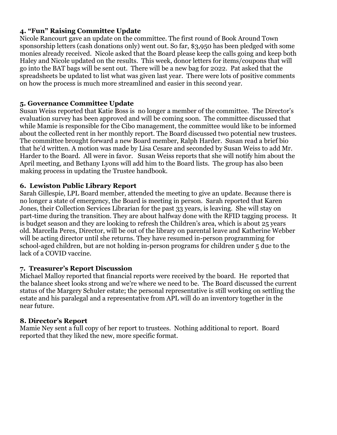## **4. "Fun" Raising Committee Update**

Nicole Rancourt gave an update on the committee. The first round of Book Around Town sponsorship letters (cash donations only) went out. So far, \$3,950 has been pledged with some monies already received. Nicole asked that the Board please keep the calls going and keep both Haley and Nicole updated on the results. This week, donor letters for items/coupons that will go into the BAT bags will be sent out. There will be a new bag for 2022. Pat asked that the spreadsheets be updated to list what was given last year. There were lots of positive comments on how the process is much more streamlined and easier in this second year.

### **5. Governance Committee Update**

Susan Weiss reported that Katie Boss is no longer a member of the committee. The Director's evaluation survey has been approved and will be coming soon. The committee discussed that while Mamie is responsible for the Cibo management, the committee would like to be informed about the collected rent in her monthly report. The Board discussed two potential new trustees. The committee brought forward a new Board member, Ralph Harder. Susan read a brief bio that he'd written. A motion was made by Lisa Cesare and seconded by Susan Weiss to add Mr. Harder to the Board. All were in favor. Susan Weiss reports that she will notify him about the April meeting, and Bethany Lyons will add him to the Board lists. The group has also been making process in updating the Trustee handbook.

### **6. Lewiston Public Library Report**

Sarah Gillespie, LPL Board member, attended the meeting to give an update. Because there is no longer a state of emergency, the Board is meeting in person. Sarah reported that Karen Jones, their Collection Services Librarian for the past 33 years, is leaving. She will stay on part-time during the transition. They are about halfway done with the RFID tagging process. It is budget season and they are looking to refresh the Children's area, which is about 25 years old. Marcella Peres, Director, will be out of the library on parental leave and Katherine Webber will be acting director until she returns. They have resumed in-person programming for school-aged children, but are not holding in-person programs for children under 5 due to the lack of a COVID vaccine.

### **7. Treasurer's Report Discussion**

Michael Malloy reported that financial reports were received by the board. He reported that the balance sheet looks strong and we're where we need to be. The Board discussed the current status of the Margery Schuler estate; the personal representative is still working on settling the estate and his paralegal and a representative from APL will do an inventory together in the near future.

### **8. Director's Report**

Mamie Ney sent a full copy of her report to trustees. Nothing additional to report. Board reported that they liked the new, more specific format.